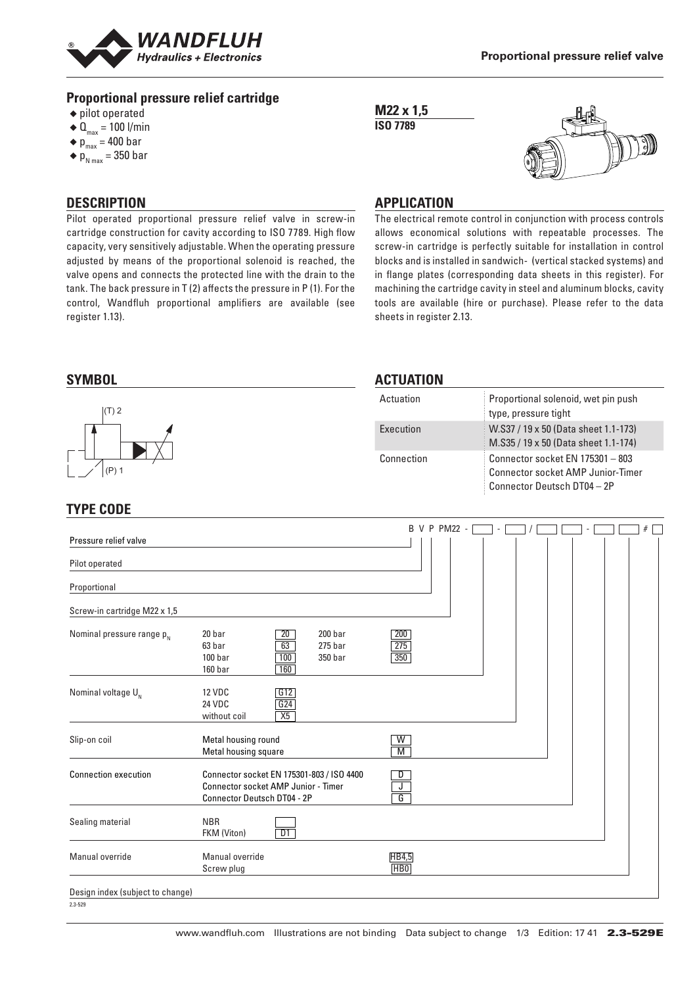

# **Proportional pressure relief cartridge**

- ◆ pilot operated
- $\triangleleft$  Q<sub>max</sub> = 100 l/min
- $\bullet$  p<sub>max</sub> = 400 bar
- $\triangleleft p_{N \text{ max}}$  = 350 bar

#### **M22 x 1,5 ISO 7789**



#### **DESCRIPTION**

Pilot operated proportional pressure relief valve in screw-in cartridge construction for cavity according to ISO 7789. High flow capacity, very sensitively adjustable. When the operating pressure adjusted by means of the proportional solenoid is reached, the valve opens and connects the protected line with the drain to the tank. The back pressure in T (2) affects the pressure in P (1). For the control, Wandfluh proportional amplifiers are available (see register 1.13).

# **APPLICATION**

The electrical remote control in conjunction with process controls allows economical solutions with repeatable processes. The screw-in cartridge is perfectly suitable for installation in control blocks and is installed in sandwich- (vertical stacked systems) and in flange plates (corresponding data sheets in this register). For machining the cartridge cavity in steel and aluminum blocks, cavity tools are available (hire or purchase). Please refer to the data sheets in register 2.13.

#### **SYMBOL** (P) 1 (T) 2 **ACTUATION** Actuation Proportional solenoid, wet pin push type, pressure tight Execution W.S37 / 19 x 50 (Data sheet 1.1-173) M.S35 / 19 x 50 (Data sheet 1.1-174) Connection Connector socket EN 175301 – 803 Connector socket AMP Junior-Timer Connector Deutsch DT04 – 2P

# **TYPE CODE**

| Pressure relief valve            |                                                                                                                                                 |                                                  | B V P PM22 - |  |  |  | # |
|----------------------------------|-------------------------------------------------------------------------------------------------------------------------------------------------|--------------------------------------------------|--------------|--|--|--|---|
|                                  |                                                                                                                                                 |                                                  |              |  |  |  |   |
| Pilot operated                   |                                                                                                                                                 |                                                  |              |  |  |  |   |
| Proportional                     |                                                                                                                                                 |                                                  |              |  |  |  |   |
| Screw-in cartridge M22 x 1,5     |                                                                                                                                                 |                                                  |              |  |  |  |   |
| Nominal pressure range $p_{N}$   | 20 bar<br>$\overline{20}$<br>200 <sub>bar</sub><br>63 bar<br>63<br>275 <sub>bar</sub><br>100 <sub>bar</sub><br>100<br>350 bar<br>160 bar<br>160 | 200<br>275<br>$\overline{350}$                   |              |  |  |  |   |
| Nominal voltage $U_{N}$          | G12<br>12 VDC<br>G24<br><b>24 VDC</b><br>X5<br>without coil                                                                                     |                                                  |              |  |  |  |   |
| Slip-on coil                     | Metal housing round<br>Metal housing square                                                                                                     | W<br>M                                           |              |  |  |  |   |
| <b>Connection execution</b>      | Connector socket EN 175301-803 / ISO 4400<br><b>Connector socket AMP Junior - Timer</b><br><b>Connector Deutsch DT04 - 2P</b>                   | D<br>$\overline{\mathsf{J}^-}$<br>$\overline{G}$ |              |  |  |  |   |
| Sealing material                 | <b>NBR</b><br>D1<br>FKM (Viton)                                                                                                                 |                                                  |              |  |  |  |   |
| Manual override                  | Manual override<br>Screw plug                                                                                                                   | HB4,5<br><b>HBO</b>                              |              |  |  |  |   |
| Design index (subject to change) |                                                                                                                                                 |                                                  |              |  |  |  |   |

2.3-529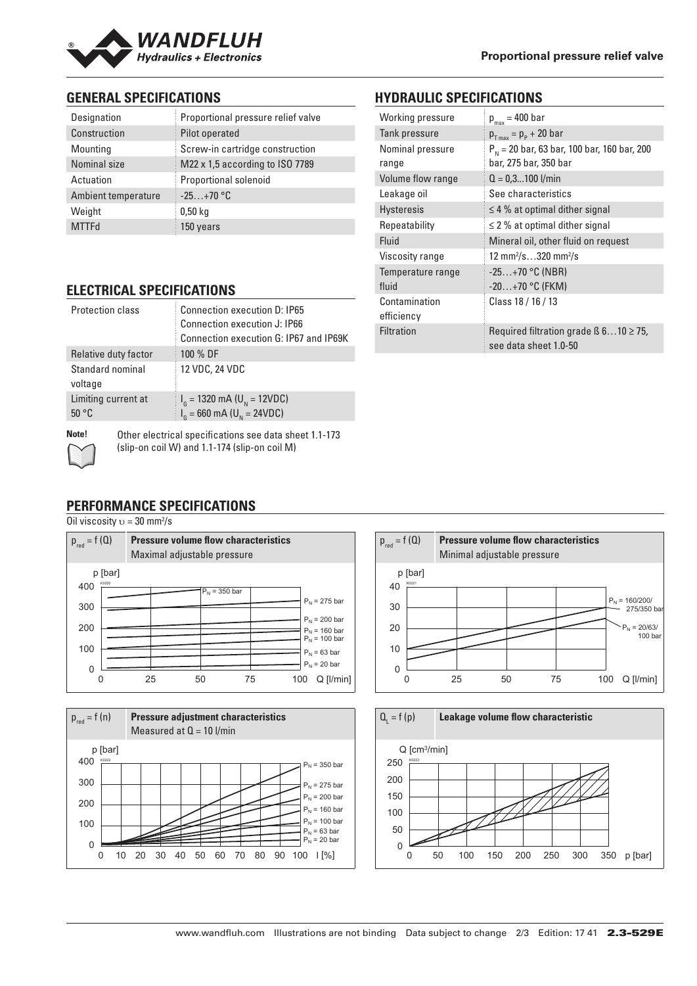

# **GENERAL SPECIFICATIONS**

| Designation         | Proportional pressure relief valve |
|---------------------|------------------------------------|
| Construction        | Pilot operated                     |
| Mounting            | Screw-in cartridge construction    |
| Nominal size        | M22 x 1,5 according to ISO 7789    |
| Actuation           | Proportional solenoid              |
| Ambient temperature | $-25+70$ °C                        |
| Weight              | 0.50 <sub>kq</sub>                 |
| <b>MTTFd</b>        | 150 years                          |

# **HYDRAULIC SPECIFICATIONS**

| Working pressure            | $p_{max}$ = 400 bar                                                       |  |  |  |  |
|-----------------------------|---------------------------------------------------------------------------|--|--|--|--|
| Tank pressure               | $p_{T_{max}} = p_{P} + 20$ bar                                            |  |  |  |  |
| Nominal pressure<br>range   | $P_{N}$ = 20 bar, 63 bar, 100 bar, 160 bar, 200<br>bar, 275 bar, 350 bar  |  |  |  |  |
| Volume flow range           | $Q = 0.3100$ l/min                                                        |  |  |  |  |
| Leakage oil                 | See characteristics                                                       |  |  |  |  |
| <b>Hysteresis</b>           | $\leq$ 4 % at optimal dither signal                                       |  |  |  |  |
| Repeatability               | $\leq$ 2 % at optimal dither signal                                       |  |  |  |  |
| Fluid                       | Mineral oil, other fluid on request                                       |  |  |  |  |
| Viscosity range             | 12 mm <sup>2</sup> /s320 mm <sup>2</sup> /s                               |  |  |  |  |
| Temperature range<br>fluid  | $-25+70$ °C (NBR)<br>$-20+70$ °C (FKM)                                    |  |  |  |  |
| Contamination<br>efficiency | Class 18 / 16 / 13                                                        |  |  |  |  |
| <b>Filtration</b>           | Required filtration grade $\beta$ 610 $\geq$ 75,<br>see data sheet 1.0-50 |  |  |  |  |

# **ELECTRICAL SPECIFICATIONS**

| Protection class             | <b>Connection execution D: IP65</b><br>Connection execution J: IP66<br>Connection execution G: IP67 and IP69K |
|------------------------------|---------------------------------------------------------------------------------------------------------------|
| Relative duty factor         | 100 % DF                                                                                                      |
| Standard nominal<br>voltage  | 12 VDC, 24 VDC                                                                                                |
| Limiting current at<br>50 °C | $I_{\rm G}$ = 1320 mA (U <sub>N</sub> = 12VDC)<br>$I_{\rm g}$ = 660 mA (U <sub>N</sub> = 24VDC)               |
|                              |                                                                                                               |

**Note!** Other electrical specifications see data sheet 1.1-173 (slip-on coil W) and 1.1-174 (slip-on coil M)

# **PERFORMANCE SPECIFICATIONS**

#### Oil viscosity  $v = 30$  mm<sup>2</sup>/s